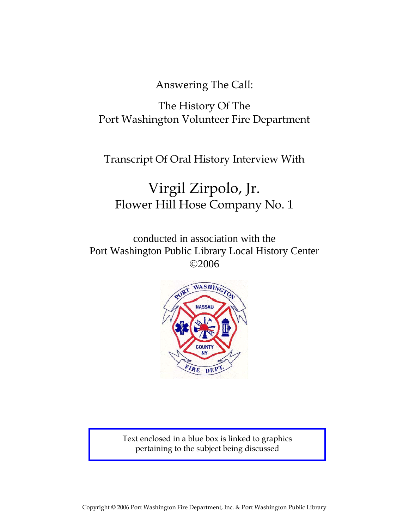Answering The Call:

# The History Of The Port Washington Volunteer Fire Department

Transcript Of Oral History Interview With

# Virgil Zirpolo, Jr. Flower Hill Hose Company No. 1

conducted in association with the Port Washington Public Library Local History Center ©2006



Text enclosed in a blue box is linked to graphics pertaining to the subject being discussed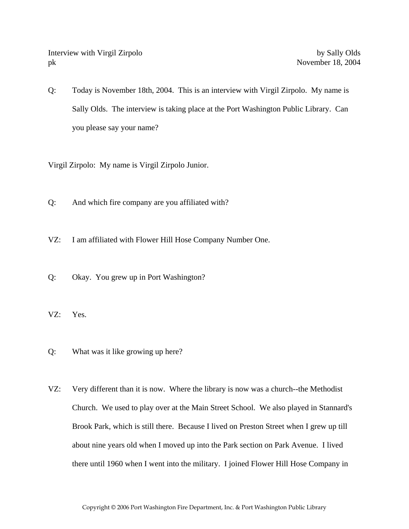Interview with Virgil Zirpolo by Sally Olds pk November 18, 2004

Q: Today is November 18th, 2004. This is an interview with Virgil Zirpolo. My name is Sally Olds. The interview is taking place at the Port Washington Public Library. Can you please say your name?

Virgil Zirpolo: My name is Virgil Zirpolo Junior.

- Q: And which fire company are you affiliated with?
- VZ: I am affiliated with Flower Hill Hose Company Number One.
- Q: Okay. You grew up in Port Washington?
- VZ: Yes.
- Q: What was it like growing up here?
- VZ: Very different than it is now. Where the library is now was a church--the Methodist Church. We used to play over at the Main Street School. We also played in Stannard's Brook Park, which is still there. Because I lived on Preston Street when I grew up till about nine years old when I moved up into the Park section on Park Avenue. I lived there until 1960 when I went into the military. I joined Flower Hill Hose Company in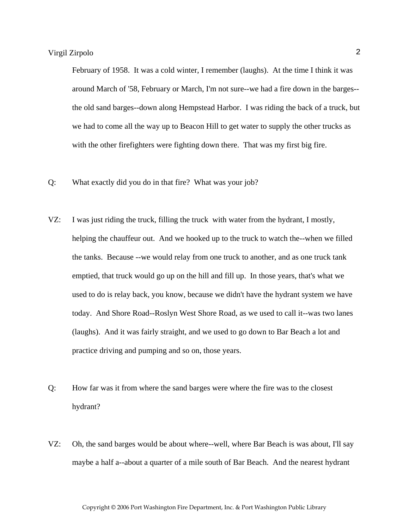February of 1958. It was a cold winter, I remember (laughs). At the time I think it was around March of '58, February or March, I'm not sure--we had a fire down in the barges- the old sand barges--down along Hempstead Harbor. I was riding the back of a truck, but we had to come all the way up to Beacon Hill to get water to supply the other trucks as with the other firefighters were fighting down there. That was my first big fire.

- Q: What exactly did you do in that fire? What was your job?
- VZ: I was just riding the truck, filling the truck with water from the hydrant, I mostly, helping the chauffeur out. And we hooked up to the truck to watch the--when we filled the tanks. Because --we would relay from one truck to another, and as one truck tank emptied, that truck would go up on the hill and fill up. In those years, that's what we used to do is relay back, you know, because we didn't have the hydrant system we have today. And Shore Road--Roslyn West Shore Road, as we used to call it--was two lanes (laughs). And it was fairly straight, and we used to go down to Bar Beach a lot and practice driving and pumping and so on, those years.
- Q: How far was it from where the sand barges were where the fire was to the closest hydrant?
- VZ: Oh, the sand barges would be about where--well, where Bar Beach is was about, I'll say maybe a half a--about a quarter of a mile south of Bar Beach. And the nearest hydrant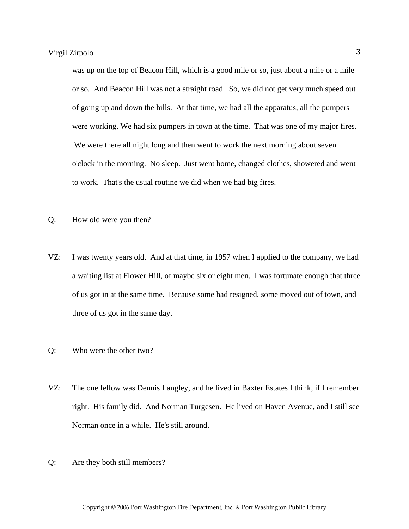was up on the top of Beacon Hill, which is a good mile or so, just about a mile or a mile or so. And Beacon Hill was not a straight road. So, we did not get very much speed out of going up and down the hills. At that time, we had all the apparatus, all the pumpers were working. We had six pumpers in town at the time. That was one of my major fires. We were there all night long and then went to work the next morning about seven o'clock in the morning. No sleep. Just went home, changed clothes, showered and went to work. That's the usual routine we did when we had big fires.

- Q: How old were you then?
- VZ: I was twenty years old. And at that time, in 1957 when I applied to the company, we had a waiting list at Flower Hill, of maybe six or eight men. I was fortunate enough that three of us got in at the same time. Because some had resigned, some moved out of town, and three of us got in the same day.
- Q: Who were the other two?
- VZ: The one fellow was Dennis Langley, and he lived in Baxter Estates I think, if I remember right. His family did. And Norman Turgesen. He lived on Haven Avenue, and I still see Norman once in a while. He's still around.
- Q: Are they both still members?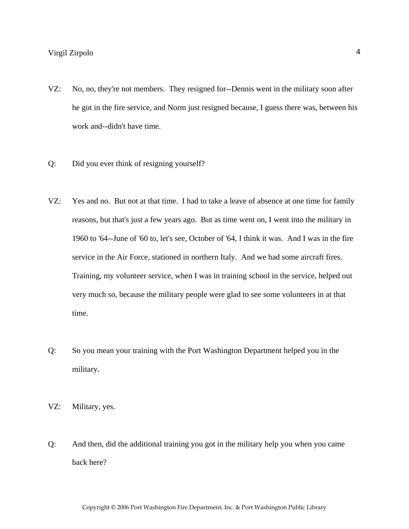- VZ: No, no, they're not members. They resigned for--Dennis went in the military soon after he got in the fire service, and Norm just resigned because, I guess there was, between his work and--didn't have time.
- Q: Did you ever think of resigning yourself?
- VZ: Yes and no. But not at that time. I had to take a leave of absence at one time for family reasons, but that's just a few years ago. But as time went on, I went into the military in 1960 to '64--June of '60 to, let's see, October of '64, I think it was. And I was in the fire service in the Air Force, stationed in northern Italy. And we had some aircraft fires. Training, my volunteer service, when I was in training school in the service, helped out very much so, because the military people were glad to see some volunteers in at that time.
- Q: So you mean your training with the Port Washington Department helped you in the military.
- VZ: Military, yes.
- Q: And then, did the additional training you got in the military help you when you came back here?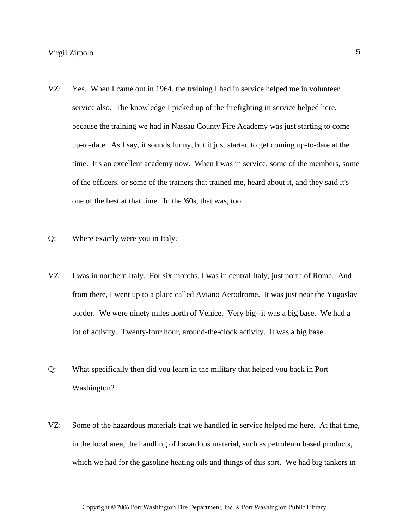- VZ: Yes. When I came out in 1964, the training I had in service helped me in volunteer service also. The knowledge I picked up of the firefighting in service helped here, because the training we had in Nassau County Fire Academy was just starting to come up-to-date. As I say, it sounds funny, but it just started to get coming up-to-date at the time. It's an excellent academy now. When I was in service, some of the members, some of the officers, or some of the trainers that trained me, heard about it, and they said it's one of the best at that time. In the '60s, that was, too.
- Q: Where exactly were you in Italy?
- VZ: I was in northern Italy. For six months, I was in central Italy, just north of Rome. And from there, I went up to a place called Aviano Aerodrome. It was just near the Yugoslav border. We were ninety miles north of Venice. Very big--it was a big base. We had a lot of activity. Twenty-four hour, around-the-clock activity. It was a big base.
- Q: What specifically then did you learn in the military that helped you back in Port Washington?
- VZ: Some of the hazardous materials that we handled in service helped me here. At that time, in the local area, the handling of hazardous material, such as petroleum based products, which we had for the gasoline heating oils and things of this sort. We had big tankers in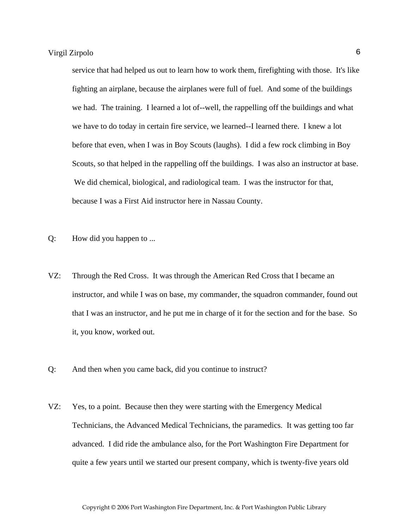service that had helped us out to learn how to work them, firefighting with those. It's like fighting an airplane, because the airplanes were full of fuel. And some of the buildings we had. The training. I learned a lot of--well, the rappelling off the buildings and what we have to do today in certain fire service, we learned--I learned there. I knew a lot before that even, when I was in Boy Scouts (laughs). I did a few rock climbing in Boy Scouts, so that helped in the rappelling off the buildings. I was also an instructor at base. We did chemical, biological, and radiological team. I was the instructor for that, because I was a First Aid instructor here in Nassau County.

- Q: How did you happen to ...
- VZ: Through the Red Cross. It was through the American Red Cross that I became an instructor, and while I was on base, my commander, the squadron commander, found out that I was an instructor, and he put me in charge of it for the section and for the base. So it, you know, worked out.
- Q: And then when you came back, did you continue to instruct?
- VZ: Yes, to a point. Because then they were starting with the Emergency Medical Technicians, the Advanced Medical Technicians, the paramedics. It was getting too far advanced. I did ride the ambulance also, for the Port Washington Fire Department for quite a few years until we started our present company, which is twenty-five years old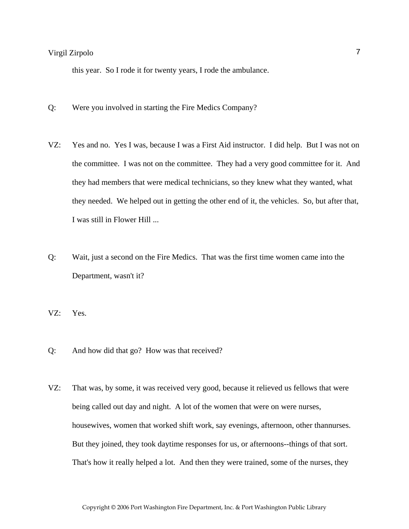this year. So I rode it for twenty years, I rode the ambulance.

- Q: Were you involved in starting the Fire Medics Company?
- VZ: Yes and no. Yes I was, because I was a First Aid instructor. I did help. But I was not on the committee. I was not on the committee. They had a very good committee for it. And they had members that were medical technicians, so they knew what they wanted, what they needed. We helped out in getting the other end of it, the vehicles. So, but after that, I was still in Flower Hill ...
- Q: Wait, just a second on the Fire Medics. That was the first time women came into the Department, wasn't it?

VZ: Yes.

- Q: And how did that go? How was that received?
- VZ: That was, by some, it was received very good, because it relieved us fellows that were being called out day and night. A lot of the women that were on were nurses, housewives, women that worked shift work, say evenings, afternoon, other thannurses. But they joined, they took daytime responses for us, or afternoons--things of that sort. That's how it really helped a lot. And then they were trained, some of the nurses, they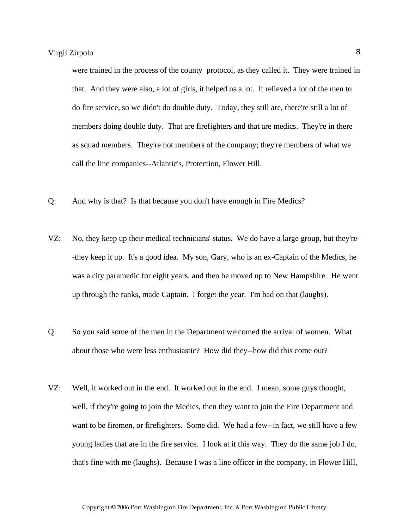were trained in the process of the county protocol, as they called it. They were trained in that. And they were also, a lot of girls, it helped us a lot. It relieved a lot of the men to do fire service, so we didn't do double duty. Today, they still are, there're still a lot of members doing double duty. That are firefighters and that are medics. They're in there as squad members. They're not members of the company; they're members of what we call the line companies--Atlantic's, Protection, Flower Hill.

- Q: And why is that? Is that because you don't have enough in Fire Medics?
- VZ: No, they keep up their medical technicians' status. We do have a large group, but they're- -they keep it up. It's a good idea. My son, Gary, who is an ex-Captain of the Medics, he was a city paramedic for eight years, and then he moved up to New Hampshire. He went up through the ranks, made Captain. I forget the year. I'm bad on that (laughs).
- Q: So you said some of the men in the Department welcomed the arrival of women. What about those who were less enthusiastic? How did they--how did this come out?
- VZ: Well, it worked out in the end. It worked out in the end. I mean, some guys thought, well, if they're going to join the Medics, then they want to join the Fire Department and want to be firemen, or firefighters. Some did. We had a few--in fact, we still have a few young ladies that are in the fire service. I look at it this way. They do the same job I do, that's fine with me (laughs). Because I was a line officer in the company, in Flower Hill,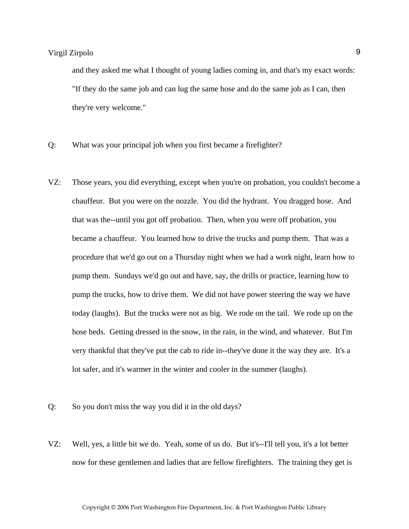and they asked me what I thought of young ladies coming in, and that's my exact words: "If they do the same job and can lug the same hose and do the same job as I can, then they're very welcome."

- Q: What was your principal job when you first became a firefighter?
- VZ: Those years, you did everything, except when you're on probation, you couldn't become a chauffeur. But you were on the nozzle. You did the hydrant. You dragged hose. And that was the--until you got off probation. Then, when you were off probation, you became a chauffeur. You learned how to drive the trucks and pump them. That was a procedure that we'd go out on a Thursday night when we had a work night, learn how to pump them. Sundays we'd go out and have, say, the drills or practice, learning how to pump the trucks, how to drive them. We did not have power steering the way we have today (laughs). But the trucks were not as big. We rode on the tail. We rode up on the hose beds. Getting dressed in the snow, in the rain, in the wind, and whatever. But I'm very thankful that they've put the cab to ride in--they've done it the way they are. It's a lot safer, and it's warmer in the winter and cooler in the summer (laughs).
- Q: So you don't miss the way you did it in the old days?
- VZ: Well, yes, a little bit we do. Yeah, some of us do. But it's--I'll tell you, it's a lot better now for these gentlemen and ladies that are fellow firefighters. The training they get is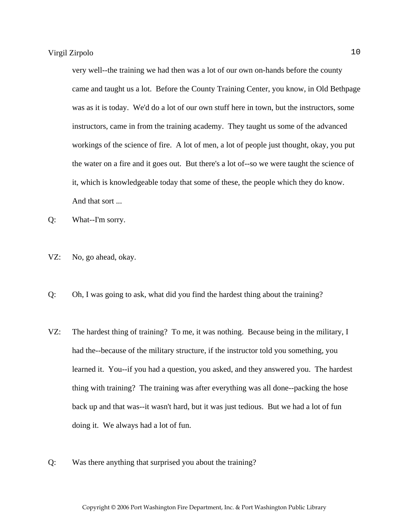very well--the training we had then was a lot of our own on-hands before the county came and taught us a lot. Before the County Training Center, you know, in Old Bethpage was as it is today. We'd do a lot of our own stuff here in town, but the instructors, some instructors, came in from the training academy. They taught us some of the advanced workings of the science of fire. A lot of men, a lot of people just thought, okay, you put the water on a fire and it goes out. But there's a lot of--so we were taught the science of it, which is knowledgeable today that some of these, the people which they do know. And that sort ...

Q: What--I'm sorry.

- VZ: No, go ahead, okay.
- Q: Oh, I was going to ask, what did you find the hardest thing about the training?
- VZ: The hardest thing of training? To me, it was nothing. Because being in the military, I had the--because of the military structure, if the instructor told you something, you learned it. You--if you had a question, you asked, and they answered you. The hardest thing with training? The training was after everything was all done--packing the hose back up and that was--it wasn't hard, but it was just tedious. But we had a lot of fun doing it. We always had a lot of fun.
- Q: Was there anything that surprised you about the training?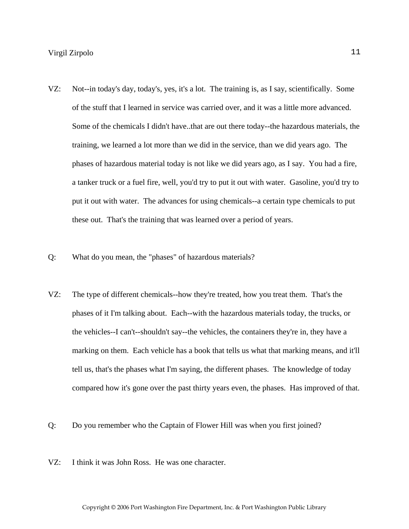- VZ: Not--in today's day, today's, yes, it's a lot. The training is, as I say, scientifically. Some of the stuff that I learned in service was carried over, and it was a little more advanced. Some of the chemicals I didn't have..that are out there today--the hazardous materials, the training, we learned a lot more than we did in the service, than we did years ago. The phases of hazardous material today is not like we did years ago, as I say. You had a fire, a tanker truck or a fuel fire, well, you'd try to put it out with water. Gasoline, you'd try to put it out with water. The advances for using chemicals--a certain type chemicals to put these out. That's the training that was learned over a period of years.
- Q: What do you mean, the "phases" of hazardous materials?
- VZ: The type of different chemicals--how they're treated, how you treat them. That's the phases of it I'm talking about. Each--with the hazardous materials today, the trucks, or the vehicles--I can't--shouldn't say--the vehicles, the containers they're in, they have a marking on them. Each vehicle has a book that tells us what that marking means, and it'll tell us, that's the phases what I'm saying, the different phases. The knowledge of today compared how it's gone over the past thirty years even, the phases. Has improved of that.
- Q: Do you remember who the Captain of Flower Hill was when you first joined?
- VZ: I think it was John Ross. He was one character.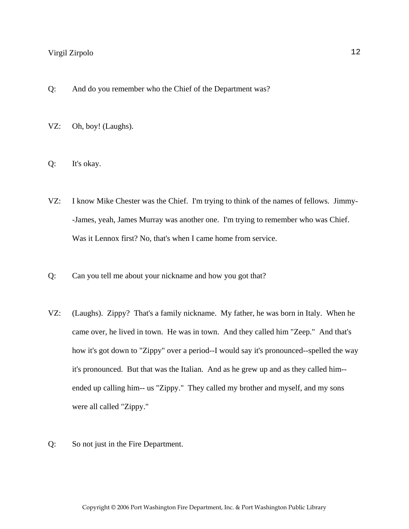- Q: And do you remember who the Chief of the Department was?
- VZ: Oh, boy! (Laughs).
- Q: It's okay.
- VZ: I know Mike Chester was the Chief. I'm trying to think of the names of fellows. Jimmy- -James, yeah, James Murray was another one. I'm trying to remember who was Chief. Was it Lennox first? No, that's when I came home from service.
- Q: Can you tell me about your nickname and how you got that?
- VZ: (Laughs). Zippy? That's a family nickname. My father, he was born in Italy. When he came over, he lived in town. He was in town. And they called him "Zeep." And that's how it's got down to "Zippy" over a period--I would say it's pronounced--spelled the way it's pronounced. But that was the Italian. And as he grew up and as they called him- ended up calling him-- us "Zippy." They called my brother and myself, and my sons were all called "Zippy."
- Q: So not just in the Fire Department.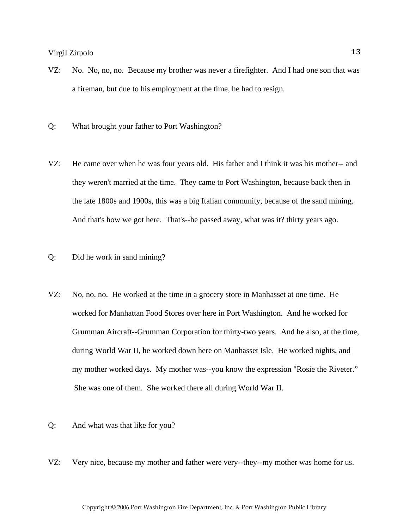- VZ: No. No, no, no. Because my brother was never a firefighter. And I had one son that was a fireman, but due to his employment at the time, he had to resign.
- Q: What brought your father to Port Washington?
- VZ: He came over when he was four years old. His father and I think it was his mother-- and they weren't married at the time. They came to Port Washington, because back then in the late 1800s and 1900s, this was a big Italian community, because of the sand mining. And that's how we got here. That's--he passed away, what was it? thirty years ago.
- Q: Did he work in sand mining?
- VZ: No, no, no. He worked at the time in a grocery store in Manhasset at one time. He worked for Manhattan Food Stores over here in Port Washington. And he worked for Grumman Aircraft--Grumman Corporation for thirty-two years. And he also, at the time, during World War II, he worked down here on Manhasset Isle. He worked nights, and my mother worked days. My mother was--you know the expression "Rosie the Riveter." She was one of them. She worked there all during World War II.
- Q: And what was that like for you?
- VZ: Very nice, because my mother and father were very--they--my mother was home for us.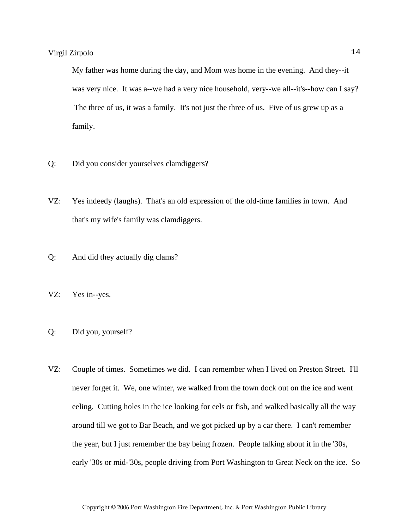My father was home during the day, and Mom was home in the evening. And they--it was very nice. It was a--we had a very nice household, very--we all--it's--how can I say? The three of us, it was a family. It's not just the three of us. Five of us grew up as a family.

- Q: Did you consider yourselves clamdiggers?
- VZ: Yes indeedy (laughs). That's an old expression of the old-time families in town. And that's my wife's family was clamdiggers.
- Q: And did they actually dig clams?
- VZ: Yes in--yes.
- Q: Did you, yourself?
- VZ: Couple of times. Sometimes we did. I can remember when I lived on Preston Street. I'll never forget it. We, one winter, we walked from the town dock out on the ice and went eeling. Cutting holes in the ice looking for eels or fish, and walked basically all the way around till we got to Bar Beach, and we got picked up by a car there. I can't remember the year, but I just remember the bay being frozen. People talking about it in the '30s, early '30s or mid-'30s, people driving from Port Washington to Great Neck on the ice. So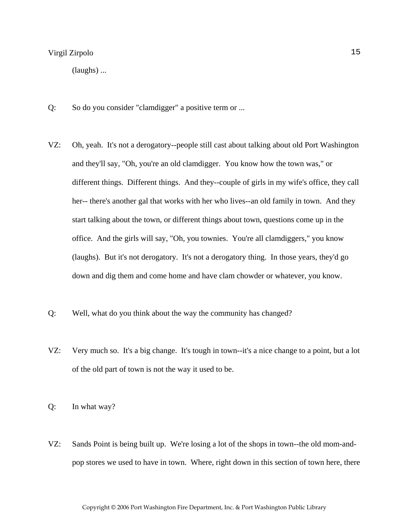(laughs) ...

- Q: So do you consider "clamdigger" a positive term or ...
- VZ: Oh, yeah. It's not a derogatory--people still cast about talking about old Port Washington and they'll say, "Oh, you're an old clamdigger. You know how the town was," or different things. Different things. And they--couple of girls in my wife's office, they call her-- there's another gal that works with her who lives--an old family in town. And they start talking about the town, or different things about town, questions come up in the office. And the girls will say, "Oh, you townies. You're all clamdiggers," you know (laughs). But it's not derogatory. It's not a derogatory thing. In those years, they'd go down and dig them and come home and have clam chowder or whatever, you know.
- Q: Well, what do you think about the way the community has changed?
- VZ: Very much so. It's a big change. It's tough in town--it's a nice change to a point, but a lot of the old part of town is not the way it used to be.

Q: In what way?

VZ: Sands Point is being built up. We're losing a lot of the shops in town--the old mom-andpop stores we used to have in town. Where, right down in this section of town here, there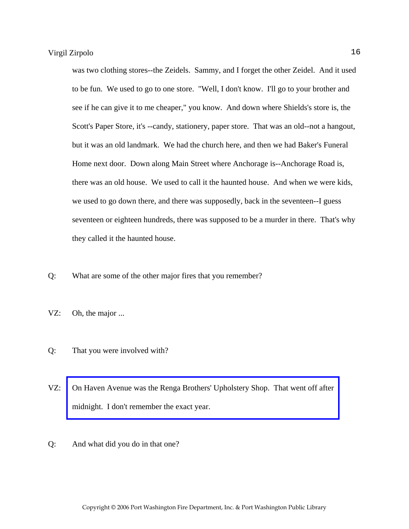was two clothing stores--the Zeidels. Sammy, and I forget the other Zeidel. And it used to be fun. We used to go to one store. "Well, I don't know. I'll go to your brother and see if he can give it to me cheaper," you know. And down where Shields's store is, the Scott's Paper Store, it's --candy, stationery, paper store. That was an old--not a hangout, but it was an old landmark. We had the church here, and then we had Baker's Funeral Home next door. Down along Main Street where Anchorage is--Anchorage Road is, there was an old house. We used to call it the haunted house. And when we were kids, we used to go down there, and there was supposedly, back in the seventeen--I guess seventeen or eighteen hundreds, there was supposed to be a murder in there. That's why they called it the haunted house.

- Q: What are some of the other major fires that you remember?
- VZ: Oh, the major ...
- Q: That you were involved with?
- VZ: [On Haven Avenue was the Renga Brothers' Upholstery Shop. That went off after](http://www.pwfdhistory.com/trans/zirpolov_trans/pwfd_news039.pdf)  midnight. I don't remember the exact year.
- Q: And what did you do in that one?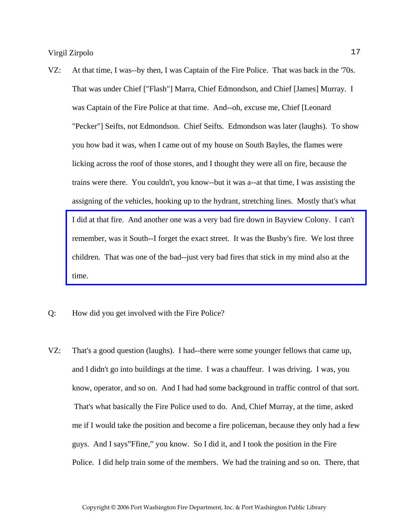- VZ: At that time, I was--by then, I was Captain of the Fire Police. That was back in the '70s. That was under Chief ["Flash"] Marra, Chief Edmondson, and Chief [James] Murray. I was Captain of the Fire Police at that time. And--oh, excuse me, Chief [Leonard "Pecker"] Seifts, not Edmondson. Chief Seifts. Edmondson was later (laughs). To show you how bad it was, when I came out of my house on South Bayles, the flames were licking across the roof of those stores, and I thought they were all on fire, because the trains were there. You couldn't, you know--but it was a--at that time, I was assisting the assigning of the vehicles, hooking up to the hydrant, stretching lines. Mostly that's what [I did at that fire. And another one was a very bad fire down in Bayview Colony. I can't](http://www.pwfdhistory.com/trans/zirpolov_trans/pwfd_fires07.pdf)  remember, was it South--I forget the exact street. It was the Busby's fire. We lost three children. That was one of the bad--just very bad fires that stick in my mind also at the time.
- Q: How did you get involved with the Fire Police?
- VZ: That's a good question (laughs). I had--there were some younger fellows that came up, and I didn't go into buildings at the time. I was a chauffeur. I was driving. I was, you know, operator, and so on. And I had had some background in traffic control of that sort. That's what basically the Fire Police used to do. And, Chief Murray, at the time, asked me if I would take the position and become a fire policeman, because they only had a few guys. And I says"Ffine," you know. So I did it, and I took the position in the Fire Police. I did help train some of the members. We had the training and so on. There, that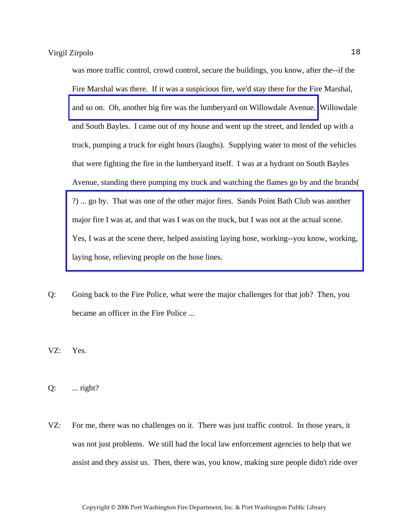was more traffic control, crowd control, secure the buildings, you know, after the--if the Fire Marshal was there. If it was a suspicious fire, we'd stay there for the Fire Marshal, [and so on. Oh, another big fire was the lumberyard on Willowdale Avenue.](http://www.pwfdhistory.com/trans/zirpolov_trans/pwfd_news_lumberyd.pdf) Willowdale and South Bayles. I came out of my house and went up the street, and Iended up with a truck, pumping a truck for eight hours (laughs). Supplying water to most of the vehicles that were fighting the fire in the lumberyard itself. I was at a hydrant on South Bayles Avenue, standing there pumping my truck and watching the flames go by and the brands( ?) ... go by. That was one of the other major fires. Sands Point Bath Club was another major fire I was at, and that was I was on the truck, but I was not at the actual scene. [Yes, I was at the scene there, helped assisting laying hose, working--you know, working,](http://www.pwfdhistory.com/trans/zirpolov_trans/spbathclb_pz_web.pdf)  laying hose, relieving people on the hose lines.

Q: Going back to the Fire Police, what were the major challenges for that job? Then, you became an officer in the Fire Police ...

VZ: Yes.

Q: ... right?

VZ: For me, there was no challenges on it. There was just traffic control. In those years, it was not just problems. We still had the local law enforcement agencies to help that we assist and they assist us. Then, there was, you know, making sure people didn't ride over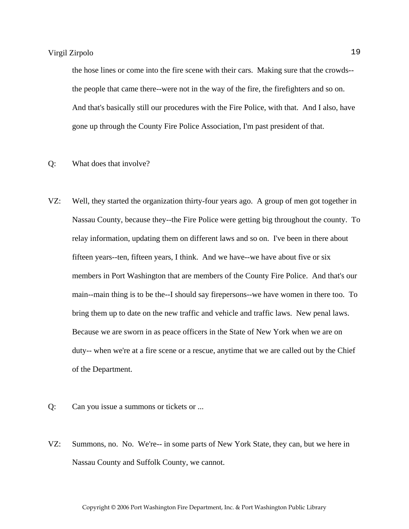the hose lines or come into the fire scene with their cars. Making sure that the crowds- the people that came there--were not in the way of the fire, the firefighters and so on. And that's basically still our procedures with the Fire Police, with that. And I also, have gone up through the County Fire Police Association, I'm past president of that.

#### Q: What does that involve?

- VZ: Well, they started the organization thirty-four years ago. A group of men got together in Nassau County, because they--the Fire Police were getting big throughout the county. To relay information, updating them on different laws and so on. I've been in there about fifteen years--ten, fifteen years, I think. And we have--we have about five or six members in Port Washington that are members of the County Fire Police. And that's our main--main thing is to be the--I should say firepersons--we have women in there too. To bring them up to date on the new traffic and vehicle and traffic laws. New penal laws. Because we are sworn in as peace officers in the State of New York when we are on duty-- when we're at a fire scene or a rescue, anytime that we are called out by the Chief of the Department.
- Q: Can you issue a summons or tickets or ...
- VZ: Summons, no. No. We're-- in some parts of New York State, they can, but we here in Nassau County and Suffolk County, we cannot.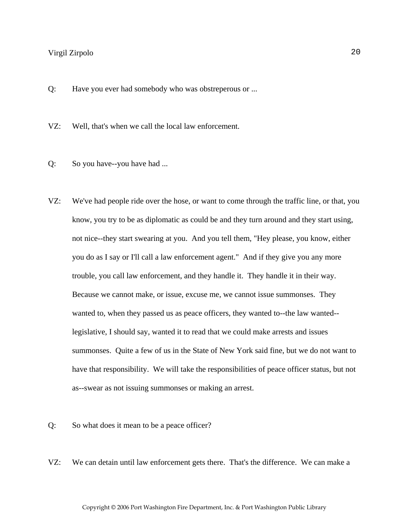Q: Have you ever had somebody who was obstreperous or ...

VZ: Well, that's when we call the local law enforcement.

- Q: So you have--you have had ...
- VZ: We've had people ride over the hose, or want to come through the traffic line, or that, you know, you try to be as diplomatic as could be and they turn around and they start using, not nice--they start swearing at you. And you tell them, "Hey please, you know, either you do as I say or I'll call a law enforcement agent." And if they give you any more trouble, you call law enforcement, and they handle it. They handle it in their way. Because we cannot make, or issue, excuse me, we cannot issue summonses. They wanted to, when they passed us as peace officers, they wanted to--the law wanted-legislative, I should say, wanted it to read that we could make arrests and issues summonses. Quite a few of us in the State of New York said fine, but we do not want to have that responsibility. We will take the responsibilities of peace officer status, but not as--swear as not issuing summonses or making an arrest.
- Q: So what does it mean to be a peace officer?
- VZ: We can detain until law enforcement gets there. That's the difference. We can make a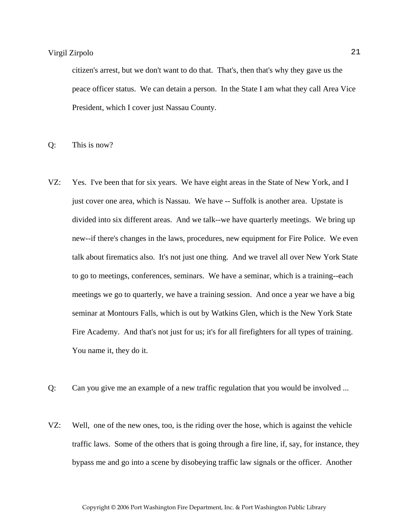citizen's arrest, but we don't want to do that. That's, then that's why they gave us the peace officer status. We can detain a person. In the State I am what they call Area Vice President, which I cover just Nassau County.

Q: This is now?

- VZ: Yes. I've been that for six years. We have eight areas in the State of New York, and I just cover one area, which is Nassau. We have -- Suffolk is another area. Upstate is divided into six different areas. And we talk--we have quarterly meetings. We bring up new--if there's changes in the laws, procedures, new equipment for Fire Police. We even talk about firematics also. It's not just one thing. And we travel all over New York State to go to meetings, conferences, seminars. We have a seminar, which is a training--each meetings we go to quarterly, we have a training session. And once a year we have a big seminar at Montours Falls, which is out by Watkins Glen, which is the New York State Fire Academy. And that's not just for us; it's for all firefighters for all types of training. You name it, they do it.
- Q: Can you give me an example of a new traffic regulation that you would be involved ...
- VZ: Well, one of the new ones, too, is the riding over the hose, which is against the vehicle traffic laws. Some of the others that is going through a fire line, if, say, for instance, they bypass me and go into a scene by disobeying traffic law signals or the officer. Another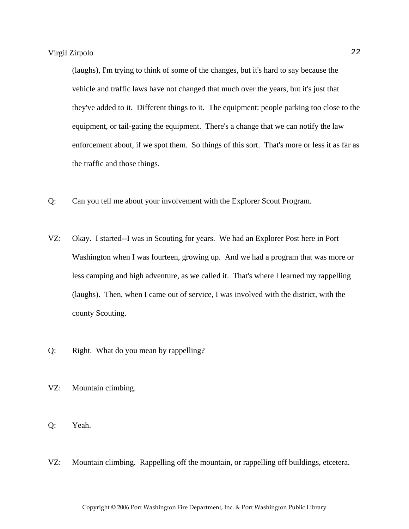(laughs), I'm trying to think of some of the changes, but it's hard to say because the vehicle and traffic laws have not changed that much over the years, but it's just that they've added to it. Different things to it. The equipment: people parking too close to the equipment, or tail-gating the equipment. There's a change that we can notify the law enforcement about, if we spot them. So things of this sort. That's more or less it as far as the traffic and those things.

- Q: Can you tell me about your involvement with the Explorer Scout Program.
- VZ: Okay. I started--I was in Scouting for years. We had an Explorer Post here in Port Washington when I was fourteen, growing up. And we had a program that was more or less camping and high adventure, as we called it. That's where I learned my rappelling (laughs). Then, when I came out of service, I was involved with the district, with the county Scouting.
- Q: Right. What do you mean by rappelling?
- VZ: Mountain climbing.
- Q: Yeah.
- VZ: Mountain climbing. Rappelling off the mountain, or rappelling off buildings, etcetera.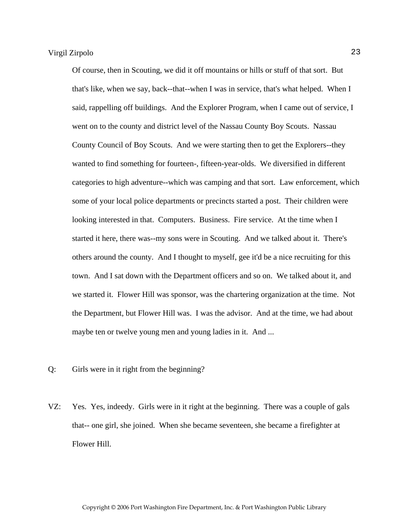Of course, then in Scouting, we did it off mountains or hills or stuff of that sort. But that's like, when we say, back--that--when I was in service, that's what helped. When I said, rappelling off buildings. And the Explorer Program, when I came out of service, I went on to the county and district level of the Nassau County Boy Scouts. Nassau County Council of Boy Scouts. And we were starting then to get the Explorers--they wanted to find something for fourteen-, fifteen-year-olds. We diversified in different categories to high adventure--which was camping and that sort. Law enforcement, which some of your local police departments or precincts started a post. Their children were looking interested in that. Computers. Business. Fire service. At the time when I started it here, there was--my sons were in Scouting. And we talked about it. There's others around the county. And I thought to myself, gee it'd be a nice recruiting for this town. And I sat down with the Department officers and so on. We talked about it, and we started it. Flower Hill was sponsor, was the chartering organization at the time. Not the Department, but Flower Hill was. I was the advisor. And at the time, we had about maybe ten or twelve young men and young ladies in it. And ...

- Q: Girls were in it right from the beginning?
- VZ: Yes. Yes, indeedy. Girls were in it right at the beginning. There was a couple of gals that-- one girl, she joined. When she became seventeen, she became a firefighter at Flower Hill.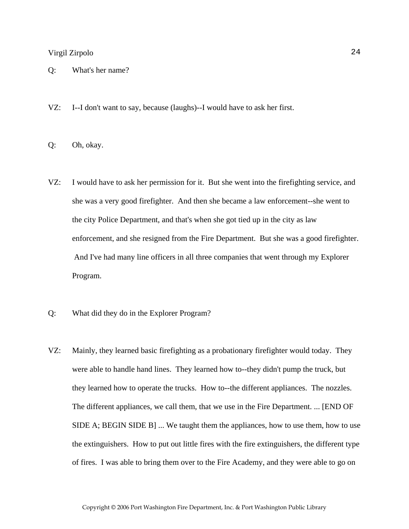- Q: What's her name?
- VZ: I--I don't want to say, because (laughs)--I would have to ask her first.
- Q: Oh, okay.
- VZ: I would have to ask her permission for it. But she went into the firefighting service, and she was a very good firefighter. And then she became a law enforcement--she went to the city Police Department, and that's when she got tied up in the city as law enforcement, and she resigned from the Fire Department. But she was a good firefighter. And I've had many line officers in all three companies that went through my Explorer Program.
- Q: What did they do in the Explorer Program?
- VZ: Mainly, they learned basic firefighting as a probationary firefighter would today. They were able to handle hand lines. They learned how to--they didn't pump the truck, but they learned how to operate the trucks. How to--the different appliances. The nozzles. The different appliances, we call them, that we use in the Fire Department. ... [END OF SIDE A; BEGIN SIDE B] ... We taught them the appliances, how to use them, how to use the extinguishers. How to put out little fires with the fire extinguishers, the different type of fires. I was able to bring them over to the Fire Academy, and they were able to go on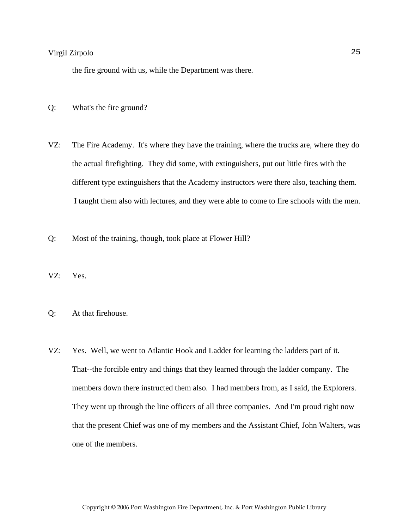the fire ground with us, while the Department was there.

- Q: What's the fire ground?
- VZ: The Fire Academy. It's where they have the training, where the trucks are, where they do the actual firefighting. They did some, with extinguishers, put out little fires with the different type extinguishers that the Academy instructors were there also, teaching them. I taught them also with lectures, and they were able to come to fire schools with the men.
- Q: Most of the training, though, took place at Flower Hill?
- VZ: Yes.
- Q: At that firehouse.
- VZ: Yes. Well, we went to Atlantic Hook and Ladder for learning the ladders part of it. That--the forcible entry and things that they learned through the ladder company. The members down there instructed them also. I had members from, as I said, the Explorers. They went up through the line officers of all three companies. And I'm proud right now that the present Chief was one of my members and the Assistant Chief, John Walters, was one of the members.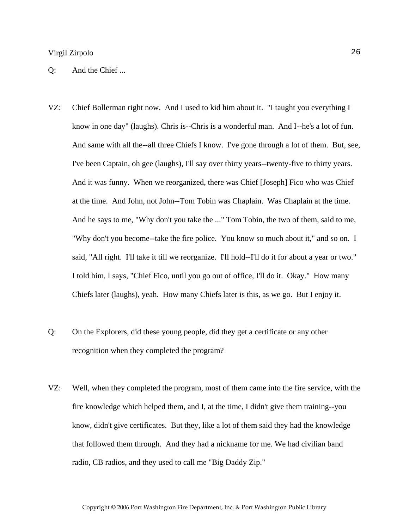#### Q: And the Chief ...

- VZ: Chief Bollerman right now. And I used to kid him about it. "I taught you everything I know in one day" (laughs). Chris is--Chris is a wonderful man. And I--he's a lot of fun. And same with all the--all three Chiefs I know. I've gone through a lot of them. But, see, I've been Captain, oh gee (laughs), I'll say over thirty years--twenty-five to thirty years. And it was funny. When we reorganized, there was Chief [Joseph] Fico who was Chief at the time. And John, not John--Tom Tobin was Chaplain. Was Chaplain at the time. And he says to me, "Why don't you take the ..." Tom Tobin, the two of them, said to me, "Why don't you become--take the fire police. You know so much about it," and so on. I said, "All right. I'll take it till we reorganize. I'll hold--I'll do it for about a year or two." I told him, I says, "Chief Fico, until you go out of office, I'll do it. Okay." How many Chiefs later (laughs), yeah. How many Chiefs later is this, as we go. But I enjoy it.
- Q: On the Explorers, did these young people, did they get a certificate or any other recognition when they completed the program?
- VZ: Well, when they completed the program, most of them came into the fire service, with the fire knowledge which helped them, and I, at the time, I didn't give them training--you know, didn't give certificates. But they, like a lot of them said they had the knowledge that followed them through. And they had a nickname for me. We had civilian band radio, CB radios, and they used to call me "Big Daddy Zip."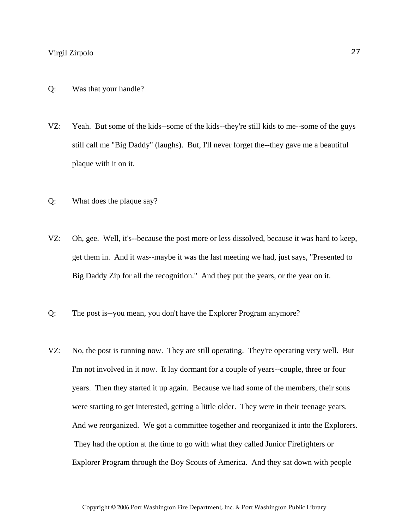- Q: Was that your handle?
- VZ: Yeah. But some of the kids--some of the kids--they're still kids to me--some of the guys still call me "Big Daddy" (laughs). But, I'll never forget the--they gave me a beautiful plaque with it on it.
- Q: What does the plaque say?
- VZ: Oh, gee. Well, it's--because the post more or less dissolved, because it was hard to keep, get them in. And it was--maybe it was the last meeting we had, just says, "Presented to Big Daddy Zip for all the recognition." And they put the years, or the year on it.
- Q: The post is--you mean, you don't have the Explorer Program anymore?
- VZ: No, the post is running now. They are still operating. They're operating very well. But I'm not involved in it now. It lay dormant for a couple of years--couple, three or four years. Then they started it up again. Because we had some of the members, their sons were starting to get interested, getting a little older. They were in their teenage years. And we reorganized. We got a committee together and reorganized it into the Explorers. They had the option at the time to go with what they called Junior Firefighters or Explorer Program through the Boy Scouts of America. And they sat down with people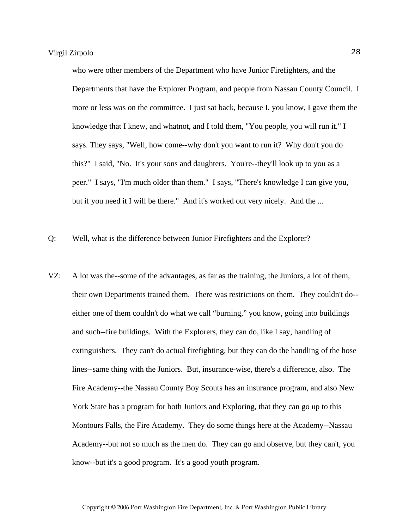who were other members of the Department who have Junior Firefighters, and the Departments that have the Explorer Program, and people from Nassau County Council. I more or less was on the committee. I just sat back, because I, you know, I gave them the knowledge that I knew, and whatnot, and I told them, "You people, you will run it." I says. They says, "Well, how come--why don't you want to run it? Why don't you do this?" I said, "No. It's your sons and daughters. You're--they'll look up to you as a peer." I says, "I'm much older than them." I says, "There's knowledge I can give you, but if you need it I will be there." And it's worked out very nicely. And the ...

Q: Well, what is the difference between Junior Firefighters and the Explorer?

VZ: A lot was the--some of the advantages, as far as the training, the Juniors, a lot of them, their own Departments trained them. There was restrictions on them. They couldn't do- either one of them couldn't do what we call "burning," you know, going into buildings and such--fire buildings. With the Explorers, they can do, like I say, handling of extinguishers. They can't do actual firefighting, but they can do the handling of the hose lines--same thing with the Juniors. But, insurance-wise, there's a difference, also. The Fire Academy--the Nassau County Boy Scouts has an insurance program, and also New York State has a program for both Juniors and Exploring, that they can go up to this Montours Falls, the Fire Academy. They do some things here at the Academy--Nassau Academy--but not so much as the men do. They can go and observe, but they can't, you know--but it's a good program. It's a good youth program.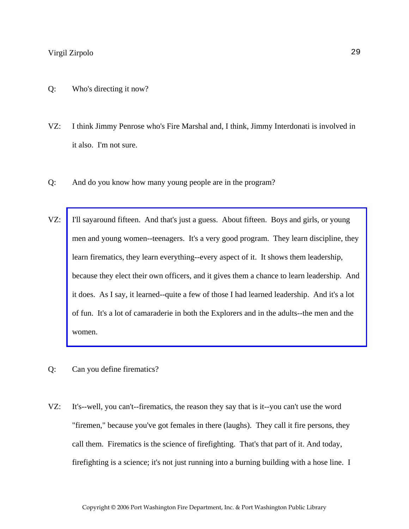- Q: Who's directing it now?
- VZ: I think Jimmy Penrose who's Fire Marshal and, I think, Jimmy Interdonati is involved in it also. I'm not sure.
- Q: And do you know how many young people are in the program?
- VZ: I'll sayaround fifteen. And that's just a guess. About fifteen. Boys and girls, or young men and young women--teenagers. It's a very good program. They learn discipline, they learn firematics, they learn everything--every aspect of it. It shows them leadership, [because they elect their own officers, and it gives them a chance to learn leadership. And](http://www.pwfdhistory.com/trans/zirpolov_trans/pwfd_members010.jpg)  it does. As I say, it learned--quite a few of those I had learned leadership. And it's a lot of fun. It's a lot of camaraderie in both the Explorers and in the adults--the men and the women.
- Q: Can you define firematics?
- VZ: It's--well, you can't--firematics, the reason they say that is it--you can't use the word "firemen," because you've got females in there (laughs). They call it fire persons, they call them. Firematics is the science of firefighting. That's that part of it. And today, firefighting is a science; it's not just running into a burning building with a hose line. I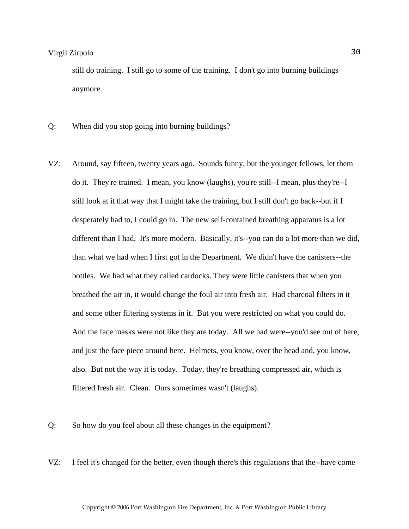still do training. I still go to some of the training. I don't go into burning buildings anymore.

- Q: When did you stop going into burning buildings?
- VZ: Around, say fifteen, twenty years ago. Sounds funny, but the younger fellows, let them do it. They're trained. I mean, you know (laughs), you're still--I mean, plus they're--I still look at it that way that I might take the training, but I still don't go back--but if I desperately had to, I could go in. The new self-contained breathing apparatus is a lot different than I had. It's more modern. Basically, it's--you can do a lot more than we did, than what we had when I first got in the Department. We didn't have the canisters--the bottles. We had what they called cardocks. They were little canisters that when you breathed the air in, it would change the foul air into fresh air. Had charcoal filters in it and some other filtering systems in it. But you were restricted on what you could do. And the face masks were not like they are today. All we had were--you'd see out of here, and just the face piece around here. Helmets, you know, over the head and, you know, also. But not the way it is today. Today, they're breathing compressed air, which is filtered fresh air. Clean. Ours sometimes wasn't (laughs).
- Q: So how do you feel about all these changes in the equipment?
- VZ: I feel it's changed for the better, even though there's this regulations that the--have come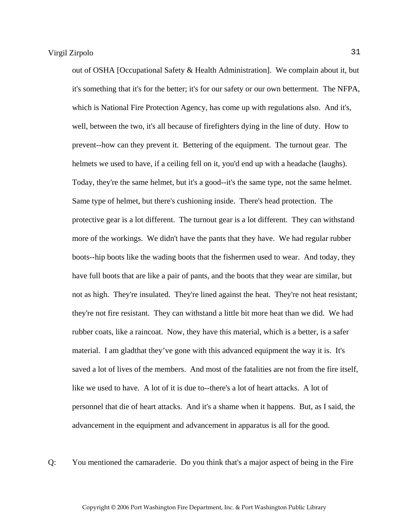out of OSHA [Occupational Safety & Health Administration]. We complain about it, but it's something that it's for the better; it's for our safety or our own betterment. The NFPA, which is National Fire Protection Agency, has come up with regulations also. And it's, well, between the two, it's all because of firefighters dying in the line of duty. How to prevent--how can they prevent it. Bettering of the equipment. The turnout gear. The helmets we used to have, if a ceiling fell on it, you'd end up with a headache (laughs). Today, they're the same helmet, but it's a good--it's the same type, not the same helmet. Same type of helmet, but there's cushioning inside. There's head protection. The protective gear is a lot different. The turnout gear is a lot different. They can withstand more of the workings. We didn't have the pants that they have. We had regular rubber boots--hip boots like the wading boots that the fishermen used to wear. And today, they have full boots that are like a pair of pants, and the boots that they wear are similar, but not as high. They're insulated. They're lined against the heat. They're not heat resistant; they're not fire resistant. They can withstand a little bit more heat than we did. We had rubber coats, like a raincoat. Now, they have this material, which is a better, is a safer material. I am gladthat they've gone with this advanced equipment the way it is. It's saved a lot of lives of the members. And most of the fatalities are not from the fire itself, like we used to have. A lot of it is due to--there's a lot of heart attacks. A lot of personnel that die of heart attacks. And it's a shame when it happens. But, as I said, the advancement in the equipment and advancement in apparatus is all for the good.

Q: You mentioned the camaraderie. Do you think that's a major aspect of being in the Fire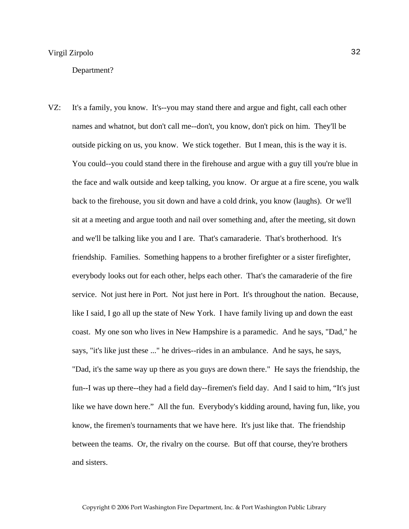#### Department?

VZ: It's a family, you know. It's--you may stand there and argue and fight, call each other names and whatnot, but don't call me--don't, you know, don't pick on him. They'll be outside picking on us, you know. We stick together. But I mean, this is the way it is. You could--you could stand there in the firehouse and argue with a guy till you're blue in the face and walk outside and keep talking, you know. Or argue at a fire scene, you walk back to the firehouse, you sit down and have a cold drink, you know (laughs). Or we'll sit at a meeting and argue tooth and nail over something and, after the meeting, sit down and we'll be talking like you and I are. That's camaraderie. That's brotherhood. It's friendship. Families. Something happens to a brother firefighter or a sister firefighter, everybody looks out for each other, helps each other. That's the camaraderie of the fire service. Not just here in Port. Not just here in Port. It's throughout the nation. Because, like I said, I go all up the state of New York. I have family living up and down the east coast. My one son who lives in New Hampshire is a paramedic. And he says, "Dad," he says, "it's like just these ..." he drives--rides in an ambulance. And he says, he says, "Dad, it's the same way up there as you guys are down there." He says the friendship, the fun--I was up there--they had a field day--firemen's field day. And I said to him, "It's just like we have down here." All the fun. Everybody's kidding around, having fun, like, you know, the firemen's tournaments that we have here. It's just like that. The friendship between the teams. Or, the rivalry on the course. But off that course, they're brothers and sisters.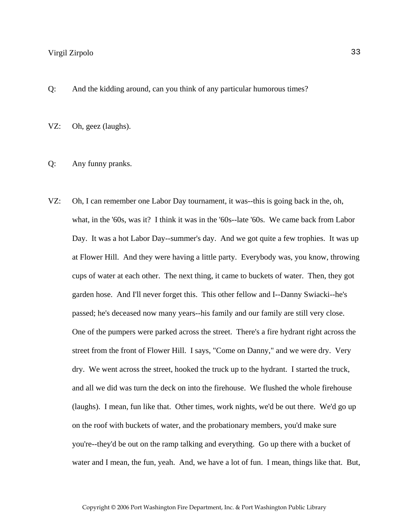Q: And the kidding around, can you think of any particular humorous times?

VZ: Oh, geez (laughs).

#### Q: Any funny pranks.

VZ: Oh, I can remember one Labor Day tournament, it was--this is going back in the, oh, what, in the '60s, was it? I think it was in the '60s--late '60s. We came back from Labor Day. It was a hot Labor Day--summer's day. And we got quite a few trophies. It was up at Flower Hill. And they were having a little party. Everybody was, you know, throwing cups of water at each other. The next thing, it came to buckets of water. Then, they got garden hose. And I'll never forget this. This other fellow and I--Danny Swiacki--he's passed; he's deceased now many years--his family and our family are still very close. One of the pumpers were parked across the street. There's a fire hydrant right across the street from the front of Flower Hill. I says, "Come on Danny," and we were dry. Very dry. We went across the street, hooked the truck up to the hydrant. I started the truck, and all we did was turn the deck on into the firehouse. We flushed the whole firehouse (laughs). I mean, fun like that. Other times, work nights, we'd be out there. We'd go up on the roof with buckets of water, and the probationary members, you'd make sure you're--they'd be out on the ramp talking and everything. Go up there with a bucket of water and I mean, the fun, yeah. And, we have a lot of fun. I mean, things like that. But,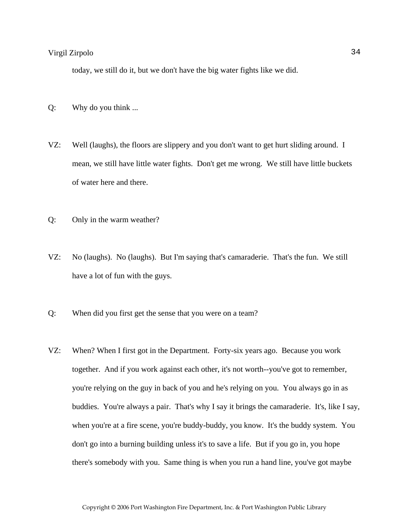today, we still do it, but we don't have the big water fights like we did.

- Q: Why do you think ...
- VZ: Well (laughs), the floors are slippery and you don't want to get hurt sliding around. I mean, we still have little water fights. Don't get me wrong. We still have little buckets of water here and there.
- Q: Only in the warm weather?
- VZ: No (laughs). No (laughs). But I'm saying that's camaraderie. That's the fun. We still have a lot of fun with the guys.
- Q: When did you first get the sense that you were on a team?
- VZ: When? When I first got in the Department. Forty-six years ago. Because you work together. And if you work against each other, it's not worth--you've got to remember, you're relying on the guy in back of you and he's relying on you. You always go in as buddies. You're always a pair. That's why I say it brings the camaraderie. It's, like I say, when you're at a fire scene, you're buddy-buddy, you know. It's the buddy system. You don't go into a burning building unless it's to save a life. But if you go in, you hope there's somebody with you. Same thing is when you run a hand line, you've got maybe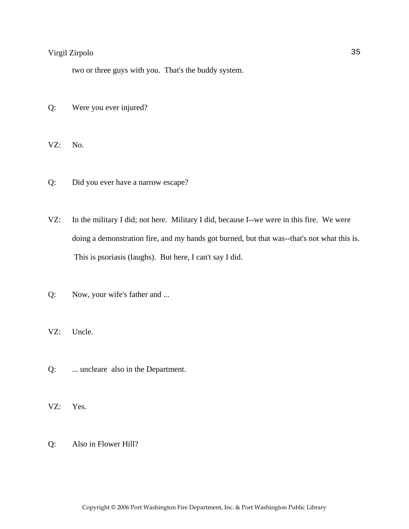two or three guys with you. That's the buddy system.

Q: Were you ever injured?

VZ: No.

- Q: Did you ever have a narrow escape?
- VZ: In the military I did; not here. Military I did, because I--we were in this fire. We were doing a demonstration fire, and my hands got burned, but that was--that's not what this is. This is psoriasis (laughs). But here, I can't say I did.
- Q: Now, your wife's father and ...
- VZ: Uncle.
- Q: ... uncleare also in the Department.
- VZ: Yes.
- Q: Also in Flower Hill?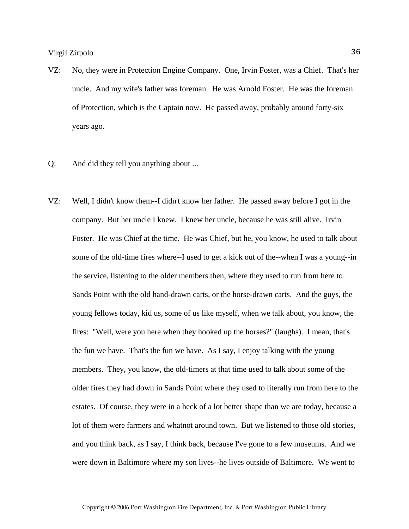- VZ: No, they were in Protection Engine Company. One, Irvin Foster, was a Chief. That's her uncle. And my wife's father was foreman. He was Arnold Foster. He was the foreman of Protection, which is the Captain now. He passed away, probably around forty-six years ago.
- Q: And did they tell you anything about ...
- VZ: Well, I didn't know them--I didn't know her father. He passed away before I got in the company. But her uncle I knew. I knew her uncle, because he was still alive. Irvin Foster. He was Chief at the time. He was Chief, but he, you know, he used to talk about some of the old-time fires where--I used to get a kick out of the--when I was a young--in the service, listening to the older members then, where they used to run from here to Sands Point with the old hand-drawn carts, or the horse-drawn carts. And the guys, the young fellows today, kid us, some of us like myself, when we talk about, you know, the fires: "Well, were you here when they hooked up the horses?" (laughs). I mean, that's the fun we have. That's the fun we have. As I say, I enjoy talking with the young members. They, you know, the old-timers at that time used to talk about some of the older fires they had down in Sands Point where they used to literally run from here to the estates. Of course, they were in a heck of a lot better shape than we are today, because a lot of them were farmers and whatnot around town. But we listened to those old stories, and you think back, as I say, I think back, because I've gone to a few museums. And we were down in Baltimore where my son lives--he lives outside of Baltimore. We went to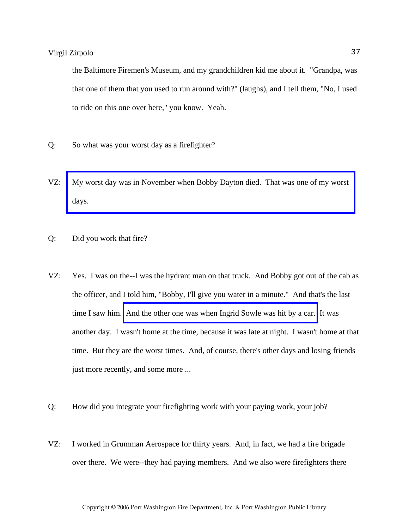the Baltimore Firemen's Museum, and my grandchildren kid me about it. "Grandpa, was that one of them that you used to run around with?" (laughs), and I tell them, "No, I used to ride on this one over here," you know. Yeah.

- Q: So what was your worst day as a firefighter?
- VZ: [My worst day was in November when Bobby Dayton died. That was one of my worst](http://www.pwfdhistory.com/trans/zirpolov_trans/nday881127_pz.pdf)  days.
- Q: Did you work that fire?
- VZ: Yes. I was on the--I was the hydrant man on that truck. And Bobby got out of the cab as the officer, and I told him, "Bobby, I'll give you water in a minute." And that's the last time I saw him. [And the other one was when Ingrid Sowle was hit by a car.](http://www.pwfdhistory.com/trans/zirpolov_trans/sowle_pz.pdf) It was another day. I wasn't home at the time, because it was late at night. I wasn't home at that time. But they are the worst times. And, of course, there's other days and losing friends just more recently, and some more ...
- Q: How did you integrate your firefighting work with your paying work, your job?
- VZ: I worked in Grumman Aerospace for thirty years. And, in fact, we had a fire brigade over there. We were--they had paying members. And we also were firefighters there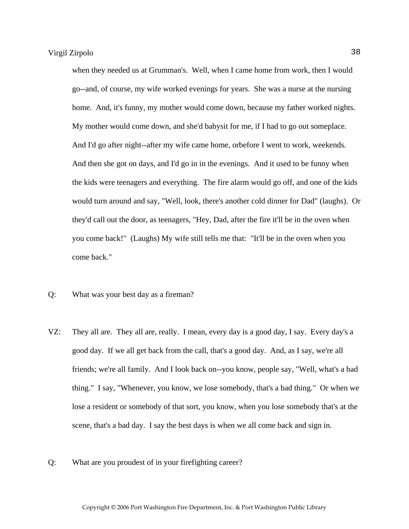when they needed us at Grumman's. Well, when I came home from work, then I would go--and, of course, my wife worked evenings for years. She was a nurse at the nursing home. And, it's funny, my mother would come down, because my father worked nights. My mother would come down, and she'd babysit for me, if I had to go out someplace. And I'd go after night--after my wife came home, orbefore I went to work, weekends. And then she got on days, and I'd go in in the evenings. And it used to be funny when the kids were teenagers and everything. The fire alarm would go off, and one of the kids would turn around and say, "Well, look, there's another cold dinner for Dad" (laughs). Or they'd call out the door, as teenagers, "Hey, Dad, after the fire it'll be in the oven when you come back!" (Laughs) My wife still tells me that: "It'll be in the oven when you come back."

- Q: What was your best day as a fireman?
- VZ: They all are. They all are, really. I mean, every day is a good day, I say. Every day's a good day. If we all get back from the call, that's a good day. And, as I say, we're all friends; we're all family. And I look back on--you know, people say, "Well, what's a bad thing." I say, "Whenever, you know, we lose somebody, that's a bad thing." Or when we lose a resident or somebody of that sort, you know, when you lose somebody that's at the scene, that's a bad day. I say the best days is when we all come back and sign in.
- Q: What are you proudest of in your firefighting career?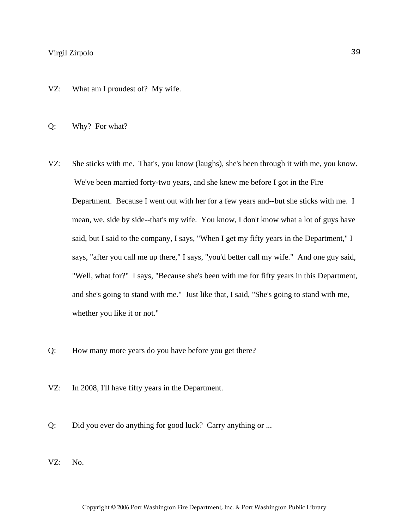- VZ: What am I proudest of? My wife.
- Q: Why? For what?
- VZ: She sticks with me. That's, you know (laughs), she's been through it with me, you know. We've been married forty-two years, and she knew me before I got in the Fire Department. Because I went out with her for a few years and--but she sticks with me. I mean, we, side by side--that's my wife. You know, I don't know what a lot of guys have said, but I said to the company, I says, "When I get my fifty years in the Department," I says, "after you call me up there," I says, "you'd better call my wife." And one guy said, "Well, what for?" I says, "Because she's been with me for fifty years in this Department, and she's going to stand with me." Just like that, I said, "She's going to stand with me, whether you like it or not."
- Q: How many more years do you have before you get there?
- VZ: In 2008, I'll have fifty years in the Department.
- Q: Did you ever do anything for good luck? Carry anything or ...
- VZ: No.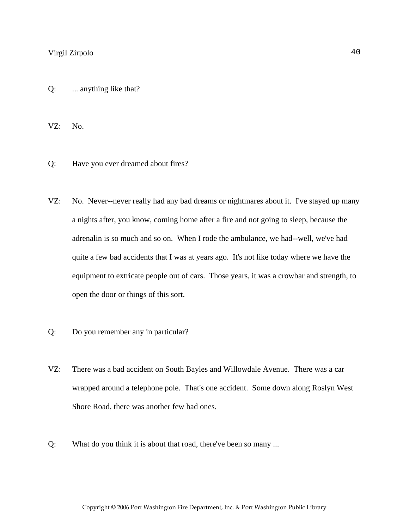Q: ... anything like that?

VZ: No.

- Q: Have you ever dreamed about fires?
- VZ: No. Never--never really had any bad dreams or nightmares about it. I've stayed up many a nights after, you know, coming home after a fire and not going to sleep, because the adrenalin is so much and so on. When I rode the ambulance, we had--well, we've had quite a few bad accidents that I was at years ago. It's not like today where we have the equipment to extricate people out of cars. Those years, it was a crowbar and strength, to open the door or things of this sort.
- Q: Do you remember any in particular?
- VZ: There was a bad accident on South Bayles and Willowdale Avenue. There was a car wrapped around a telephone pole. That's one accident. Some down along Roslyn West Shore Road, there was another few bad ones.
- Q: What do you think it is about that road, there've been so many ...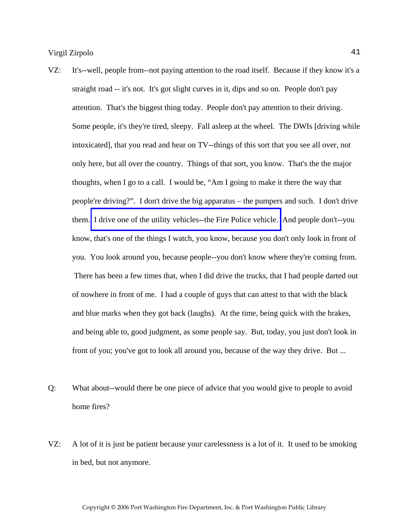- VZ: It's--well, people from--not paying attention to the road itself. Because if they know it's a straight road -- it's not. It's got slight curves in it, dips and so on. People don't pay attention. That's the biggest thing today. People don't pay attention to their driving. Some people, it's they're tired, sleepy. Fall asleep at the wheel. The DWIs [driving while intoxicated], that you read and hear on TV--things of this sort that you see all over, not only here, but all over the country. Things of that sort, you know. That's the the major thoughts, when I go to a call. I would be, "Am I going to make it there the way that people're driving?". I don't drive the big apparatus – the pumpers and such. I don't drive them. [I drive one of the utility vehicles--the Fire Police vehicle.](http://www.pwfdhistory.com/trans/zirpolov_trans/pwfd_vehicle001.jpg) And people don't--you know, that's one of the things I watch, you know, because you don't only look in front of you. You look around you, because people--you don't know where they're coming from. There has been a few times that, when I did drive the trucks, that I had people darted out of nowhere in front of me. I had a couple of guys that can attest to that with the black and blue marks when they got back (laughs). At the time, being quick with the brakes, and being able to, good judgment, as some people say. But, today, you just don't look in front of you; you've got to look all around you, because of the way they drive. But ...
- Q: What about--would there be one piece of advice that you would give to people to avoid home fires?
- VZ: A lot of it is just be patient because your carelessness is a lot of it. It used to be smoking in bed, but not anymore.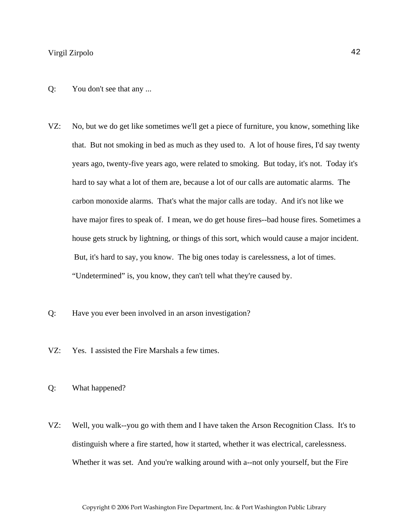- Q: You don't see that any ...
- VZ: No, but we do get like sometimes we'll get a piece of furniture, you know, something like that. But not smoking in bed as much as they used to. A lot of house fires, I'd say twenty years ago, twenty-five years ago, were related to smoking. But today, it's not. Today it's hard to say what a lot of them are, because a lot of our calls are automatic alarms. The carbon monoxide alarms. That's what the major calls are today. And it's not like we have major fires to speak of. I mean, we do get house fires--bad house fires. Sometimes a house gets struck by lightning, or things of this sort, which would cause a major incident. But, it's hard to say, you know. The big ones today is carelessness, a lot of times. "Undetermined" is, you know, they can't tell what they're caused by.
- Q: Have you ever been involved in an arson investigation?
- VZ: Yes. I assisted the Fire Marshals a few times.
- Q: What happened?
- VZ: Well, you walk--you go with them and I have taken the Arson Recognition Class. It's to distinguish where a fire started, how it started, whether it was electrical, carelessness. Whether it was set. And you're walking around with a--not only yourself, but the Fire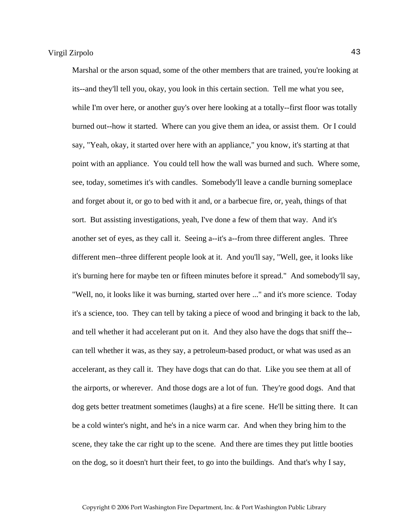Marshal or the arson squad, some of the other members that are trained, you're looking at its--and they'll tell you, okay, you look in this certain section. Tell me what you see, while I'm over here, or another guy's over here looking at a totally--first floor was totally burned out--how it started. Where can you give them an idea, or assist them. Or I could say, "Yeah, okay, it started over here with an appliance," you know, it's starting at that point with an appliance. You could tell how the wall was burned and such. Where some, see, today, sometimes it's with candles. Somebody'll leave a candle burning someplace and forget about it, or go to bed with it and, or a barbecue fire, or, yeah, things of that sort. But assisting investigations, yeah, I've done a few of them that way. And it's another set of eyes, as they call it. Seeing a--it's a--from three different angles. Three different men--three different people look at it. And you'll say, "Well, gee, it looks like it's burning here for maybe ten or fifteen minutes before it spread." And somebody'll say, "Well, no, it looks like it was burning, started over here ..." and it's more science. Today it's a science, too. They can tell by taking a piece of wood and bringing it back to the lab, and tell whether it had accelerant put on it. And they also have the dogs that sniff the- can tell whether it was, as they say, a petroleum-based product, or what was used as an accelerant, as they call it. They have dogs that can do that. Like you see them at all of the airports, or wherever. And those dogs are a lot of fun. They're good dogs. And that dog gets better treatment sometimes (laughs) at a fire scene. He'll be sitting there. It can be a cold winter's night, and he's in a nice warm car. And when they bring him to the scene, they take the car right up to the scene. And there are times they put little booties on the dog, so it doesn't hurt their feet, to go into the buildings. And that's why I say,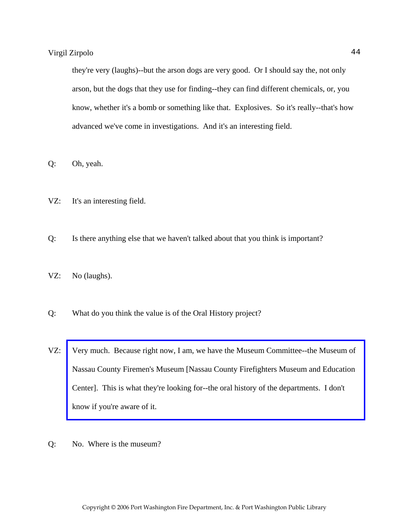they're very (laughs)--but the arson dogs are very good. Or I should say the, not only arson, but the dogs that they use for finding--they can find different chemicals, or, you know, whether it's a bomb or something like that. Explosives. So it's really--that's how advanced we've come in investigations. And it's an interesting field.

Q: Oh, yeah.

- VZ: It's an interesting field.
- Q: Is there anything else that we haven't talked about that you think is important?
- VZ: No (laughs).
- Q: What do you think the value is of the Oral History project?
- VZ: [Very much. Because right now, I am, we have the Museum Committee--the Museum of](http://www.ncfiremuseum.com/)  Nassau County Firemen's Museum [Nassau County Firefighters Museum and Education Center]. This is what they're looking for--the oral history of the departments. I don't know if you're aware of it.
- Q: No. Where is the museum?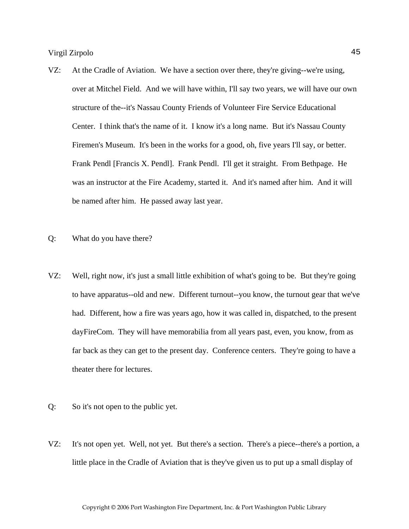- VZ: At the Cradle of Aviation. We have a section over there, they're giving--we're using, over at Mitchel Field. And we will have within, I'll say two years, we will have our own structure of the--it's Nassau County Friends of Volunteer Fire Service Educational Center. I think that's the name of it. I know it's a long name. But it's Nassau County Firemen's Museum. It's been in the works for a good, oh, five years I'll say, or better. Frank Pendl [Francis X. Pendl]. Frank Pendl. I'll get it straight. From Bethpage. He was an instructor at the Fire Academy, started it. And it's named after him. And it will be named after him. He passed away last year.
- Q: What do you have there?
- VZ: Well, right now, it's just a small little exhibition of what's going to be. But they're going to have apparatus--old and new. Different turnout--you know, the turnout gear that we've had. Different, how a fire was years ago, how it was called in, dispatched, to the present dayFireCom. They will have memorabilia from all years past, even, you know, from as far back as they can get to the present day. Conference centers. They're going to have a theater there for lectures.
- Q: So it's not open to the public yet.
- VZ: It's not open yet. Well, not yet. But there's a section. There's a piece--there's a portion, a little place in the Cradle of Aviation that is they've given us to put up a small display of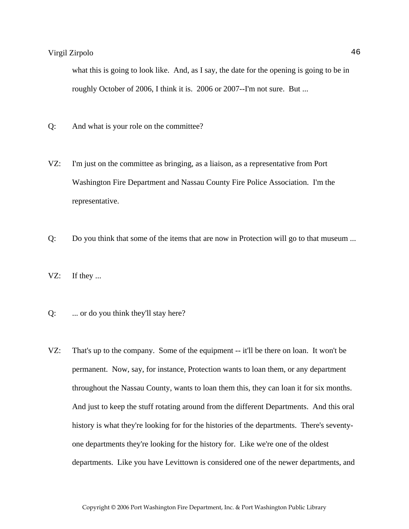what this is going to look like. And, as I say, the date for the opening is going to be in roughly October of 2006, I think it is. 2006 or 2007--I'm not sure. But ...

- Q: And what is your role on the committee?
- VZ: I'm just on the committee as bringing, as a liaison, as a representative from Port Washington Fire Department and Nassau County Fire Police Association. I'm the representative.
- Q: Do you think that some of the items that are now in Protection will go to that museum ...
- VZ: If they ...
- Q: ... or do you think they'll stay here?
- VZ: That's up to the company. Some of the equipment -- it'll be there on loan. It won't be permanent. Now, say, for instance, Protection wants to loan them, or any department throughout the Nassau County, wants to loan them this, they can loan it for six months. And just to keep the stuff rotating around from the different Departments. And this oral history is what they're looking for for the histories of the departments. There's seventyone departments they're looking for the history for. Like we're one of the oldest departments. Like you have Levittown is considered one of the newer departments, and